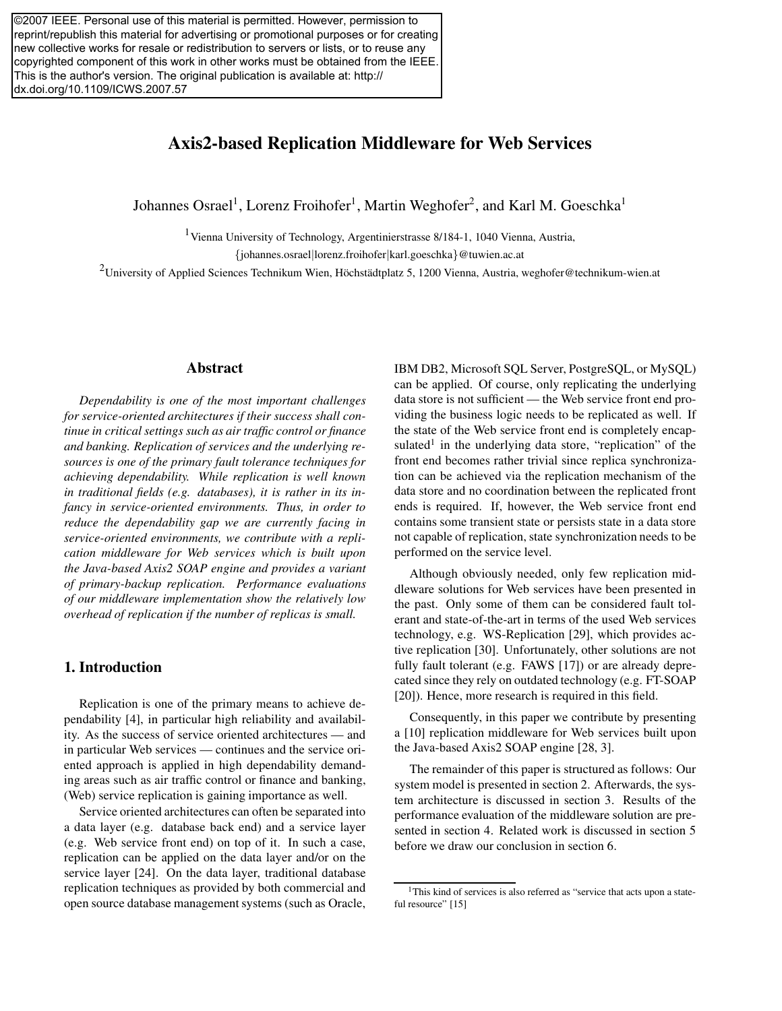# Axis2-based Replication Middleware for Web Services

Johannes Osrael<sup>1</sup>, Lorenz Froihofer<sup>1</sup>, Martin Weghofer<sup>2</sup>, and Karl M. Goeschka<sup>1</sup>

<sup>1</sup> Vienna University of Technology, Argentinierstrasse 8/184-1, 1040 Vienna, Austria, *{*johannes.osrael*|*lorenz.froihofer*|*karl.goeschka*}*@tuwien.ac.at

<sup>2</sup>University of Applied Sciences Technikum Wien, Höchstädtplatz 5, 1200 Vienna, Austria, weghofer@technikum-wien.at

#### Abstract

*Dependability is one of the most important challenges for service-oriented architectures if their success shall continue in critical settings such as air traffic control or finance and banking. Replication of services and the underlying resources is one of the primary fault tolerance techniques for achieving dependability. While replication is well known in traditional fields (e.g. databases), it is rather in its infancy in service-oriented environments. Thus, in order to reduce the dependability gap we are currently facing in service-oriented environments, we contribute with a replication middleware for Web services which is built upon the Java-based Axis2 SOAP engine and provides a variant of primary-backup replication. Performance evaluations of our middleware implementation show the relatively low overhead of replication if the number of replicas is small.*

# 1. Introduction

Replication is one of the primary means to achieve dependability [4], in particular high reliability and availability. As the success of service oriented architectures — and in particular Web services — continues and the service oriented approach is applied in high dependability demanding areas such as air traffic control or finance and banking, (Web) service replication is gaining importance as well.

Service oriented architectures can often be separated into a data layer (e.g. database back end) and a service layer (e.g. Web service front end) on top of it. In such a case, replication can be applied on the data layer and/or on the service layer [24]. On the data layer, traditional database replication techniques as provided by both commercial and open source database management systems (such as Oracle, IBM DB2, Microsoft SQL Server, PostgreSQL, or MySQL) can be applied. Of course, only replicating the underlying data store is not sufficient — the Web service front end providing the business logic needs to be replicated as well. If the state of the Web service front end is completely encapsulated<sup>1</sup> in the underlying data store, "replication" of the front end becomes rather trivial since replica synchronization can be achieved via the replication mechanism of the data store and no coordination between the replicated front ends is required. If, however, the Web service front end contains some transient state or persists state in a data store not capable of replication, state synchronization needs to be performed on the service level.

Although obviously needed, only few replication middleware solutions for Web services have been presented in the past. Only some of them can be considered fault tolerant and state-of-the-art in terms of the used Web services technology, e.g. WS-Replication [29], which provides active replication [30]. Unfortunately, other solutions are not fully fault tolerant (e.g. FAWS [17]) or are already deprecated since they rely on outdated technology (e.g. FT-SOAP [20]). Hence, more research is required in this field.

Consequently, in this paper we contribute by presenting a [10] replication middleware for Web services built upon the Java-based Axis2 SOAP engine [28, 3].

The remainder of this paper is structured as follows: Our system model is presented in section 2. Afterwards, the system architecture is discussed in section 3. Results of the performance evaluation of the middleware solution are presented in section 4. Related work is discussed in section 5 before we draw our conclusion in section 6.

<sup>&</sup>lt;sup>1</sup>This kind of services is also referred as "service that acts upon a stateful resource" [15]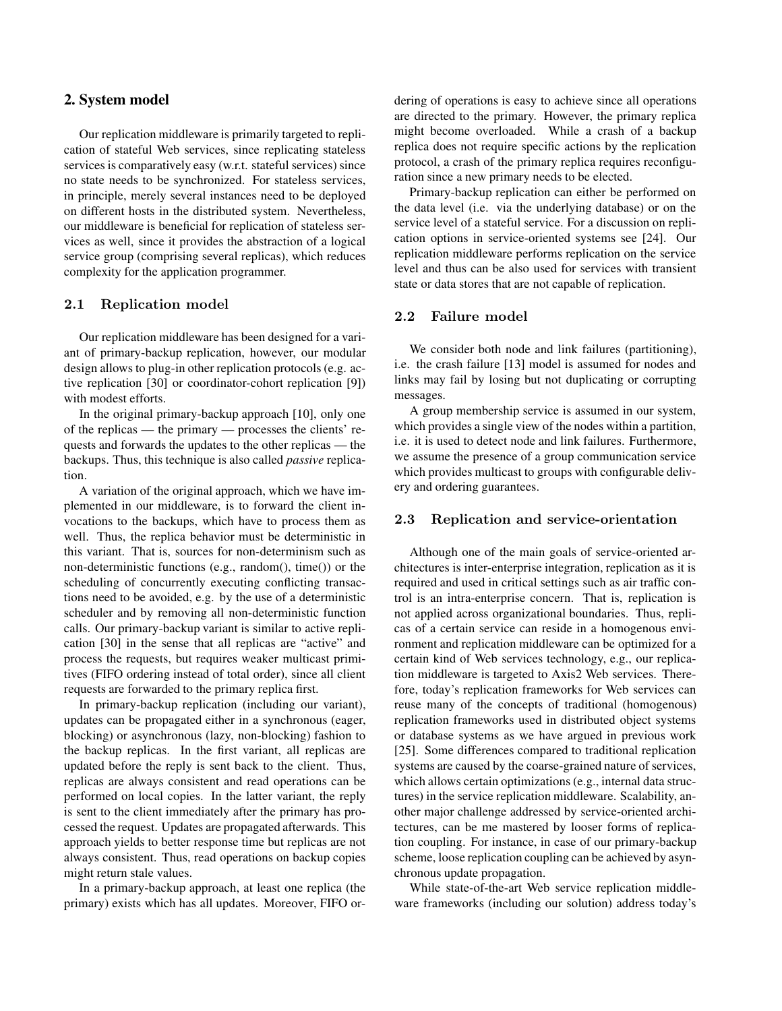# 2. System model

Our replication middleware is primarily targeted to replication of stateful Web services, since replicating stateless services is comparatively easy (w.r.t. stateful services) since no state needs to be synchronized. For stateless services, in principle, merely several instances need to be deployed on different hosts in the distributed system. Nevertheless, our middleware is beneficial for replication of stateless services as well, since it provides the abstraction of a logical service group (comprising several replicas), which reduces complexity for the application programmer.

#### **2.1 Replication model**

Our replication middleware has been designed for a variant of primary-backup replication, however, our modular design allows to plug-in other replication protocols (e.g. active replication [30] or coordinator-cohort replication [9]) with modest efforts.

In the original primary-backup approach [10], only one of the replicas — the primary — processes the clients' requests and forwards the updates to the other replicas — the backups. Thus, this technique is also called *passive* replication.

A variation of the original approach, which we have implemented in our middleware, is to forward the client invocations to the backups, which have to process them as well. Thus, the replica behavior must be deterministic in this variant. That is, sources for non-determinism such as non-deterministic functions (e.g., random(), time()) or the scheduling of concurrently executing conflicting transactions need to be avoided, e.g. by the use of a deterministic scheduler and by removing all non-deterministic function calls. Our primary-backup variant is similar to active replication [30] in the sense that all replicas are "active" and process the requests, but requires weaker multicast primitives (FIFO ordering instead of total order), since all client requests are forwarded to the primary replica first.

In primary-backup replication (including our variant), updates can be propagated either in a synchronous (eager, blocking) or asynchronous (lazy, non-blocking) fashion to the backup replicas. In the first variant, all replicas are updated before the reply is sent back to the client. Thus, replicas are always consistent and read operations can be performed on local copies. In the latter variant, the reply is sent to the client immediately after the primary has processed the request. Updates are propagated afterwards. This approach yields to better response time but replicas are not always consistent. Thus, read operations on backup copies might return stale values.

In a primary-backup approach, at least one replica (the primary) exists which has all updates. Moreover, FIFO ordering of operations is easy to achieve since all operations are directed to the primary. However, the primary replica might become overloaded. While a crash of a backup replica does not require specific actions by the replication protocol, a crash of the primary replica requires reconfiguration since a new primary needs to be elected.

Primary-backup replication can either be performed on the data level (i.e. via the underlying database) or on the service level of a stateful service. For a discussion on replication options in service-oriented systems see [24]. Our replication middleware performs replication on the service level and thus can be also used for services with transient state or data stores that are not capable of replication.

### **2.2 Failure model**

We consider both node and link failures (partitioning), i.e. the crash failure [13] model is assumed for nodes and links may fail by losing but not duplicating or corrupting messages.

A group membership service is assumed in our system, which provides a single view of the nodes within a partition, i.e. it is used to detect node and link failures. Furthermore, we assume the presence of a group communication service which provides multicast to groups with configurable delivery and ordering guarantees.

#### **2.3 Replication and service-orientation**

Although one of the main goals of service-oriented architectures is inter-enterprise integration, replication as it is required and used in critical settings such as air traffic control is an intra-enterprise concern. That is, replication is not applied across organizational boundaries. Thus, replicas of a certain service can reside in a homogenous environment and replication middleware can be optimized for a certain kind of Web services technology, e.g., our replication middleware is targeted to Axis2 Web services. Therefore, today's replication frameworks for Web services can reuse many of the concepts of traditional (homogenous) replication frameworks used in distributed object systems or database systems as we have argued in previous work [25]. Some differences compared to traditional replication systems are caused by the coarse-grained nature of services, which allows certain optimizations (e.g., internal data structures) in the service replication middleware. Scalability, another major challenge addressed by service-oriented architectures, can be me mastered by looser forms of replication coupling. For instance, in case of our primary-backup scheme, loose replication coupling can be achieved by asynchronous update propagation.

While state-of-the-art Web service replication middleware frameworks (including our solution) address today's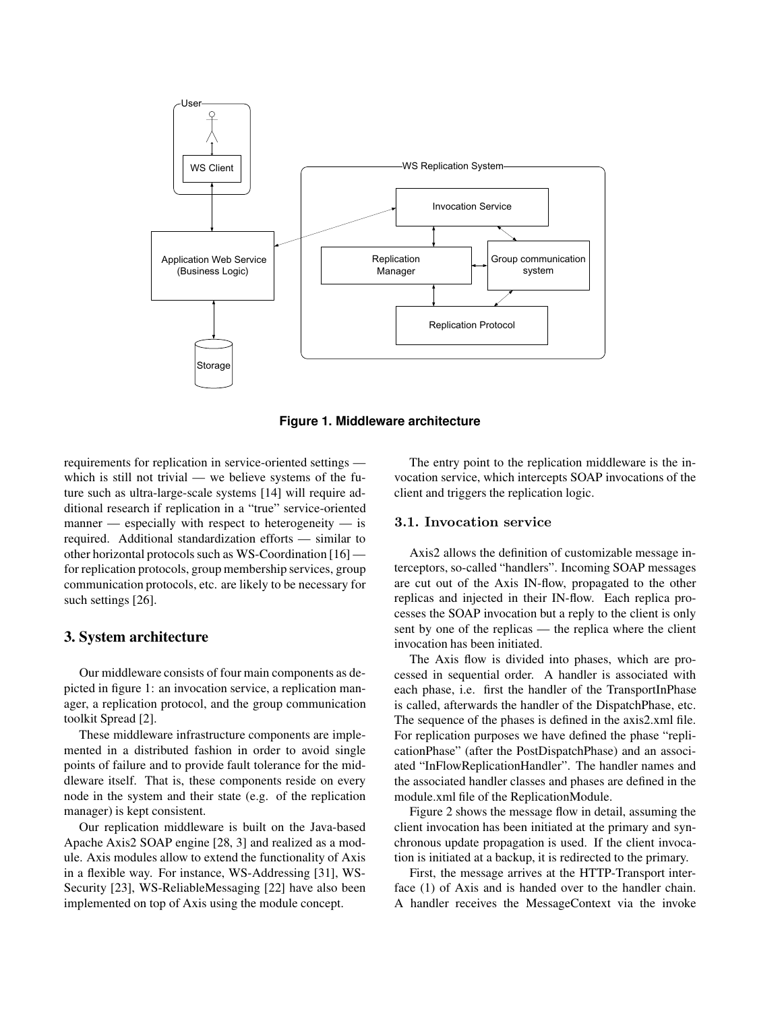

**Figure 1. Middleware architecture**

requirements for replication in service-oriented settings which is still not trivial — we believe systems of the future such as ultra-large-scale systems [14] will require additional research if replication in a "true" service-oriented  $m$ anner — especially with respect to heterogeneity — is required. Additional standardization efforts — similar to other horizontal protocols such as WS-Coordination [16] for replication protocols, group membership services, group communication protocols, etc. are likely to be necessary for such settings [26].

#### 3. System architecture

Our middleware consists of four main components as depicted in figure 1: an invocation service, a replication manager, a replication protocol, and the group communication toolkit Spread [2].

These middleware infrastructure components are implemented in a distributed fashion in order to avoid single points of failure and to provide fault tolerance for the middleware itself. That is, these components reside on every node in the system and their state (e.g. of the replication manager) is kept consistent.

Our replication middleware is built on the Java-based Apache Axis2 SOAP engine [28, 3] and realized as a module. Axis modules allow to extend the functionality of Axis in a flexible way. For instance, WS-Addressing [31], WS-Security [23], WS-ReliableMessaging [22] have also been implemented on top of Axis using the module concept.

The entry point to the replication middleware is the invocation service, which intercepts SOAP invocations of the client and triggers the replication logic.

#### **3.1. Invocation service**

Axis2 allows the definition of customizable message interceptors, so-called "handlers". Incoming SOAP messages are cut out of the Axis IN-flow, propagated to the other replicas and injected in their IN-flow. Each replica processes the SOAP invocation but a reply to the client is only sent by one of the replicas — the replica where the client invocation has been initiated.

The Axis flow is divided into phases, which are processed in sequential order. A handler is associated with each phase, i.e. first the handler of the TransportInPhase is called, afterwards the handler of the DispatchPhase, etc. The sequence of the phases is defined in the axis2.xml file. For replication purposes we have defined the phase "replicationPhase" (after the PostDispatchPhase) and an associated "InFlowReplicationHandler". The handler names and the associated handler classes and phases are defined in the module.xml file of the ReplicationModule.

Figure 2 shows the message flow in detail, assuming the client invocation has been initiated at the primary and synchronous update propagation is used. If the client invocation is initiated at a backup, it is redirected to the primary.

First, the message arrives at the HTTP-Transport interface (1) of Axis and is handed over to the handler chain. A handler receives the MessageContext via the invoke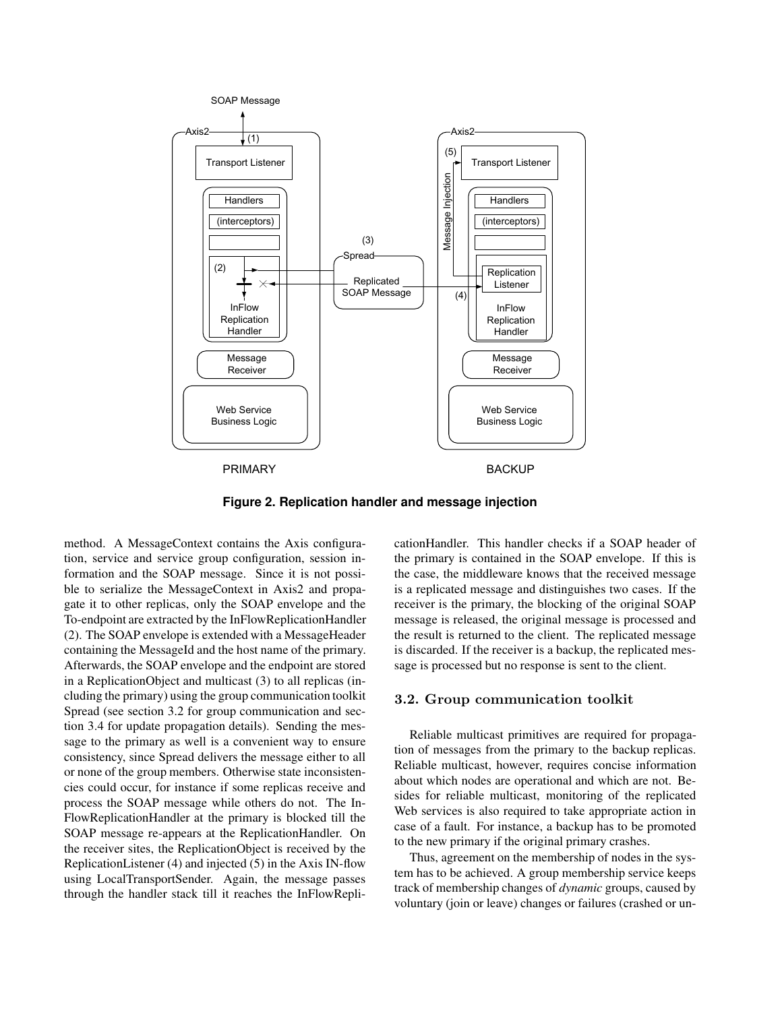

**Figure 2. Replication handler and message injection**

method. A MessageContext contains the Axis configuration, service and service group configuration, session information and the SOAP message. Since it is not possible to serialize the MessageContext in Axis2 and propagate it to other replicas, only the SOAP envelope and the To-endpoint are extracted by the InFlowReplicationHandler (2). The SOAP envelope is extended with a MessageHeader containing the MessageId and the host name of the primary. Afterwards, the SOAP envelope and the endpoint are stored in a ReplicationObject and multicast (3) to all replicas (including the primary) using the group communication toolkit Spread (see section 3.2 for group communication and section 3.4 for update propagation details). Sending the message to the primary as well is a convenient way to ensure consistency, since Spread delivers the message either to all or none of the group members. Otherwise state inconsistencies could occur, for instance if some replicas receive and process the SOAP message while others do not. The In-FlowReplicationHandler at the primary is blocked till the SOAP message re-appears at the ReplicationHandler. On the receiver sites, the ReplicationObject is received by the ReplicationListener (4) and injected (5) in the Axis IN-flow using LocalTransportSender. Again, the message passes through the handler stack till it reaches the InFlowReplicationHandler. This handler checks if a SOAP header of the primary is contained in the SOAP envelope. If this is the case, the middleware knows that the received message is a replicated message and distinguishes two cases. If the receiver is the primary, the blocking of the original SOAP message is released, the original message is processed and the result is returned to the client. The replicated message is discarded. If the receiver is a backup, the replicated message is processed but no response is sent to the client.

#### **3.2. Group communication toolkit**

Reliable multicast primitives are required for propagation of messages from the primary to the backup replicas. Reliable multicast, however, requires concise information about which nodes are operational and which are not. Besides for reliable multicast, monitoring of the replicated Web services is also required to take appropriate action in case of a fault. For instance, a backup has to be promoted to the new primary if the original primary crashes.

Thus, agreement on the membership of nodes in the system has to be achieved. A group membership service keeps track of membership changes of *dynamic* groups, caused by voluntary (join or leave) changes or failures (crashed or un-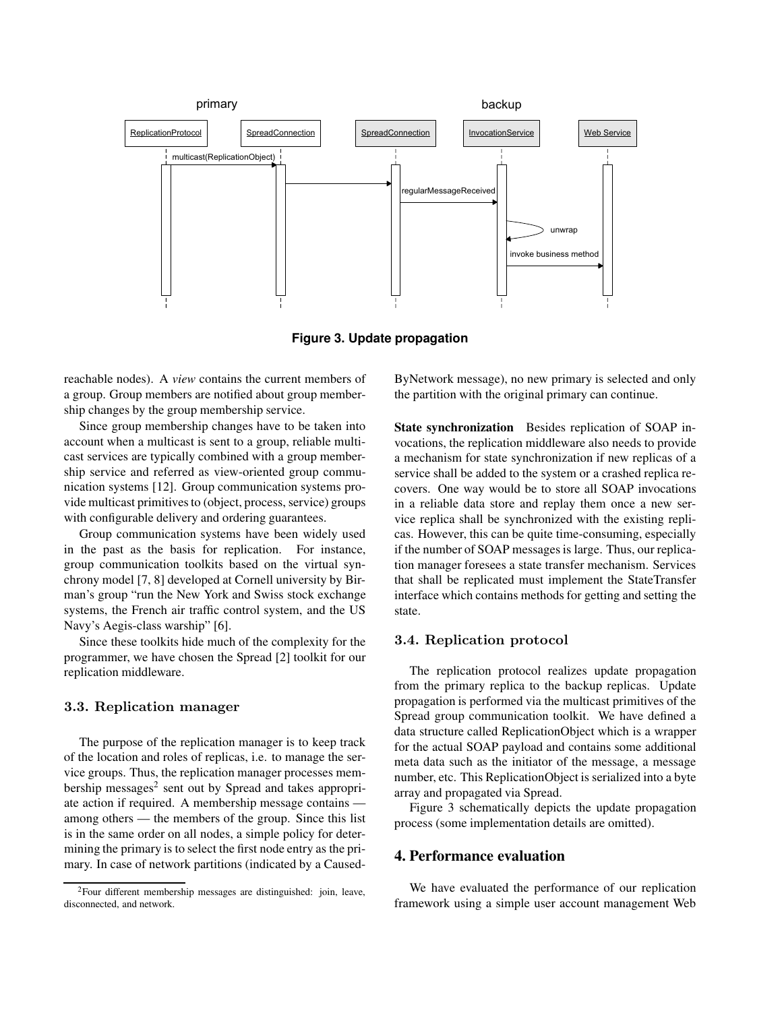

**Figure 3. Update propagation**

reachable nodes). A *view* contains the current members of a group. Group members are notified about group membership changes by the group membership service.

Since group membership changes have to be taken into account when a multicast is sent to a group, reliable multicast services are typically combined with a group membership service and referred as view-oriented group communication systems [12]. Group communication systems provide multicast primitives to (object, process, service) groups with configurable delivery and ordering guarantees.

Group communication systems have been widely used in the past as the basis for replication. For instance, group communication toolkits based on the virtual synchrony model [7, 8] developed at Cornell university by Birman's group "run the New York and Swiss stock exchange systems, the French air traffic control system, and the US Navy's Aegis-class warship" [6].

Since these toolkits hide much of the complexity for the programmer, we have chosen the Spread [2] toolkit for our replication middleware.

#### **3.3. Replication manager**

The purpose of the replication manager is to keep track of the location and roles of replicas, i.e. to manage the service groups. Thus, the replication manager processes membership messages<sup>2</sup> sent out by Spread and takes appropriate action if required. A membership message contains among others — the members of the group. Since this list is in the same order on all nodes, a simple policy for determining the primary is to select the first node entry as the primary. In case of network partitions (indicated by a CausedByNetwork message), no new primary is selected and only the partition with the original primary can continue.

State synchronization Besides replication of SOAP invocations, the replication middleware also needs to provide a mechanism for state synchronization if new replicas of a service shall be added to the system or a crashed replica recovers. One way would be to store all SOAP invocations in a reliable data store and replay them once a new service replica shall be synchronized with the existing replicas. However, this can be quite time-consuming, especially if the number of SOAP messages is large. Thus, our replication manager foresees a state transfer mechanism. Services that shall be replicated must implement the StateTransfer interface which contains methods for getting and setting the state.

#### **3.4. Replication protocol**

The replication protocol realizes update propagation from the primary replica to the backup replicas. Update propagation is performed via the multicast primitives of the Spread group communication toolkit. We have defined a data structure called ReplicationObject which is a wrapper for the actual SOAP payload and contains some additional meta data such as the initiator of the message, a message number, etc. This ReplicationObject is serialized into a byte array and propagated via Spread.

Figure 3 schematically depicts the update propagation process (some implementation details are omitted).

### 4. Performance evaluation

We have evaluated the performance of our replication framework using a simple user account management Web

<sup>2</sup>Four different membership messages are distinguished: join, leave, disconnected, and network.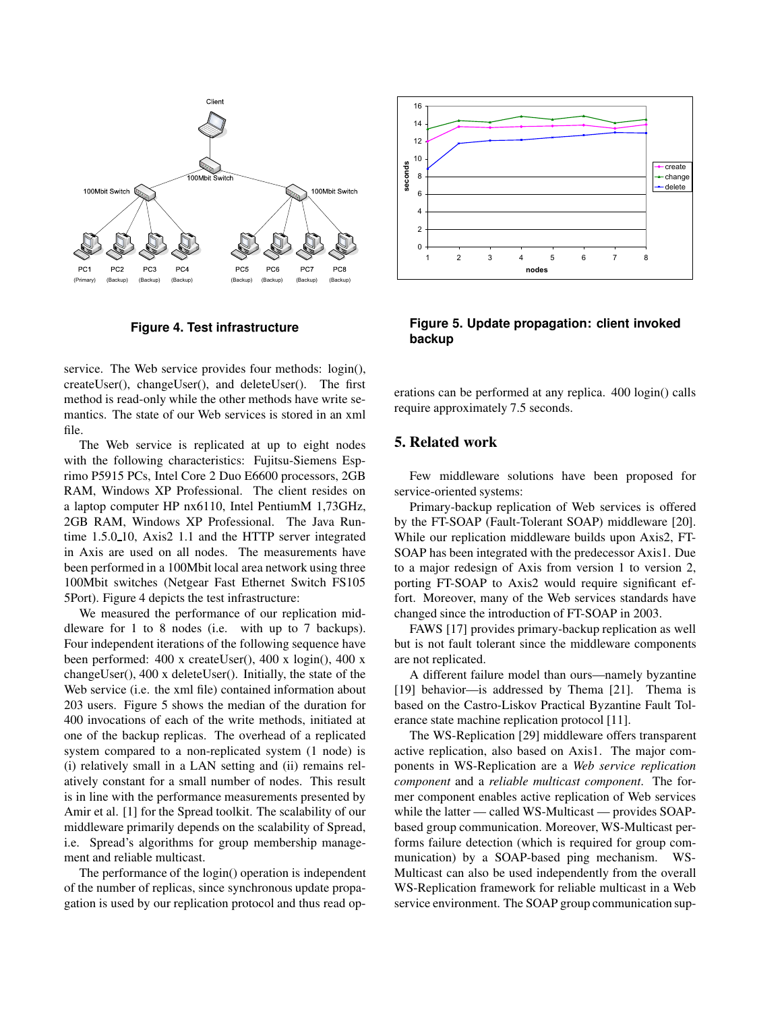

**Figure 4. Test infrastructure**

service. The Web service provides four methods: login(), createUser(), changeUser(), and deleteUser(). The first method is read-only while the other methods have write semantics. The state of our Web services is stored in an xml file.

The Web service is replicated at up to eight nodes with the following characteristics: Fujitsu-Siemens Esprimo P5915 PCs, Intel Core 2 Duo E6600 processors, 2GB RAM, Windows XP Professional. The client resides on a laptop computer HP nx6110, Intel PentiumM 1,73GHz, 2GB RAM, Windows XP Professional. The Java Runtime 1.5.0 10, Axis2 1.1 and the HTTP server integrated in Axis are used on all nodes. The measurements have been performed in a 100Mbit local area network using three 100Mbit switches (Netgear Fast Ethernet Switch FS105 5Port). Figure 4 depicts the test infrastructure:

We measured the performance of our replication middleware for 1 to 8 nodes (i.e. with up to 7 backups). Four independent iterations of the following sequence have been performed: 400 x createUser(), 400 x login(), 400 x changeUser(), 400 x deleteUser(). Initially, the state of the Web service (i.e. the xml file) contained information about 203 users. Figure 5 shows the median of the duration for 400 invocations of each of the write methods, initiated at one of the backup replicas. The overhead of a replicated system compared to a non-replicated system (1 node) is (i) relatively small in a LAN setting and (ii) remains relatively constant for a small number of nodes. This result is in line with the performance measurements presented by Amir et al. [1] for the Spread toolkit. The scalability of our middleware primarily depends on the scalability of Spread, i.e. Spread's algorithms for group membership management and reliable multicast.

The performance of the login() operation is independent of the number of replicas, since synchronous update propagation is used by our replication protocol and thus read op-



**Figure 5. Update propagation: client invoked backup**

erations can be performed at any replica. 400 login() calls require approximately 7.5 seconds.

# 5. Related work

Few middleware solutions have been proposed for service-oriented systems:

Primary-backup replication of Web services is offered by the FT-SOAP (Fault-Tolerant SOAP) middleware [20]. While our replication middleware builds upon Axis2, FT-SOAP has been integrated with the predecessor Axis1. Due to a major redesign of Axis from version 1 to version 2, porting FT-SOAP to Axis2 would require significant effort. Moreover, many of the Web services standards have changed since the introduction of FT-SOAP in 2003.

FAWS [17] provides primary-backup replication as well but is not fault tolerant since the middleware components are not replicated.

A different failure model than ours—namely byzantine [19] behavior—is addressed by Thema [21]. Thema is based on the Castro-Liskov Practical Byzantine Fault Tolerance state machine replication protocol [11].

The WS-Replication [29] middleware offers transparent active replication, also based on Axis1. The major components in WS-Replication are a *Web service replication component* and a *reliable multicast component*. The former component enables active replication of Web services while the latter — called WS-Multicast — provides SOAPbased group communication. Moreover, WS-Multicast performs failure detection (which is required for group communication) by a SOAP-based ping mechanism. WS-Multicast can also be used independently from the overall WS-Replication framework for reliable multicast in a Web service environment. The SOAP group communication sup-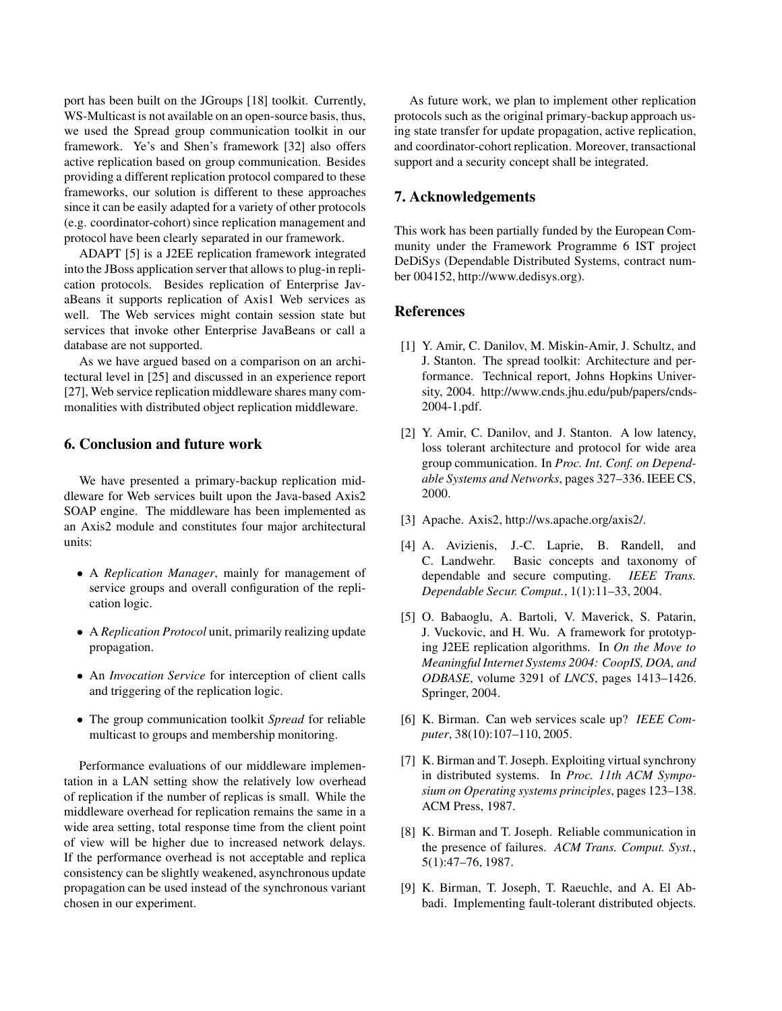port has been built on the JGroups [18] toolkit. Currently, WS-Multicast is not available on an open-source basis, thus, we used the Spread group communication toolkit in our framework. Ye's and Shen's framework [32] also offers active replication based on group communication. Besides providing a different replication protocol compared to these frameworks, our solution is different to these approaches since it can be easily adapted for a variety of other protocols (e.g. coordinator-cohort) since replication management and protocol have been clearly separated in our framework.

ADAPT [5] is a J2EE replication framework integrated into the JBoss application server that allows to plug-in replication protocols. Besides replication of Enterprise JavaBeans it supports replication of Axis1 Web services as well. The Web services might contain session state but services that invoke other Enterprise JavaBeans or call a database are not supported.

As we have argued based on a comparison on an architectural level in [25] and discussed in an experience report [27], Web service replication middleware shares many commonalities with distributed object replication middleware.

## 6. Conclusion and future work

We have presented a primary-backup replication middleware for Web services built upon the Java-based Axis2 SOAP engine. The middleware has been implemented as an Axis2 module and constitutes four major architectural units:

- *•* A *Replication Manager*, mainly for management of service groups and overall configuration of the replication logic.
- *•* A *Replication Protocol* unit, primarily realizing update propagation.
- *•* An *Invocation Service* for interception of client calls and triggering of the replication logic.
- *•* The group communication toolkit *Spread* for reliable multicast to groups and membership monitoring.

Performance evaluations of our middleware implementation in a LAN setting show the relatively low overhead of replication if the number of replicas is small. While the middleware overhead for replication remains the same in a wide area setting, total response time from the client point of view will be higher due to increased network delays. If the performance overhead is not acceptable and replica consistency can be slightly weakened, asynchronous update propagation can be used instead of the synchronous variant chosen in our experiment.

As future work, we plan to implement other replication protocols such as the original primary-backup approach using state transfer for update propagation, active replication, and coordinator-cohort replication. Moreover, transactional support and a security concept shall be integrated.

# 7. Acknowledgements

This work has been partially funded by the European Community under the Framework Programme 6 IST project DeDiSys (Dependable Distributed Systems, contract number 004152, http://www.dedisys.org).

#### References

- [1] Y. Amir, C. Danilov, M. Miskin-Amir, J. Schultz, and J. Stanton. The spread toolkit: Architecture and performance. Technical report, Johns Hopkins University, 2004. http://www.cnds.jhu.edu/pub/papers/cnds-2004-1.pdf.
- [2] Y. Amir, C. Danilov, and J. Stanton. A low latency, loss tolerant architecture and protocol for wide area group communication. In *Proc. Int. Conf. on Dependable Systems and Networks*, pages 327–336. IEEE CS, 2000.
- [3] Apache. Axis2, http://ws.apache.org/axis2/.
- [4] A. Avizienis, J.-C. Laprie, B. Randell, and C. Landwehr. Basic concepts and taxonomy of dependable and secure computing. *IEEE Trans. Dependable Secur. Comput.*, 1(1):11–33, 2004.
- [5] O. Babaoglu, A. Bartoli, V. Maverick, S. Patarin, J. Vuckovic, and H. Wu. A framework for prototyping J2EE replication algorithms. In *On the Move to Meaningful Internet Systems 2004: CoopIS, DOA, and ODBASE*, volume 3291 of *LNCS*, pages 1413–1426. Springer, 2004.
- [6] K. Birman. Can web services scale up? *IEEE Computer*, 38(10):107–110, 2005.
- [7] K. Birman and T. Joseph. Exploiting virtual synchrony in distributed systems. In *Proc. 11th ACM Symposium on Operating systems principles*, pages 123–138. ACM Press, 1987.
- [8] K. Birman and T. Joseph. Reliable communication in the presence of failures. *ACM Trans. Comput. Syst.*, 5(1):47–76, 1987.
- [9] K. Birman, T. Joseph, T. Raeuchle, and A. El Abbadi. Implementing fault-tolerant distributed objects.